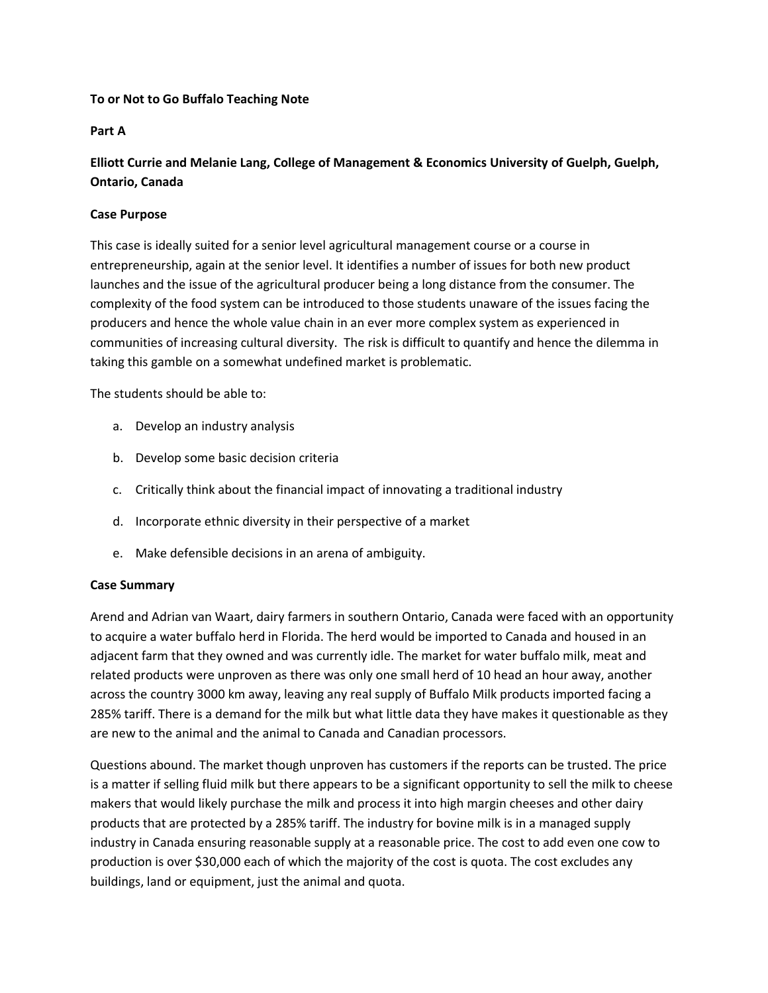# To or Not to Go Buffalo Teaching Note

# Part A

# Elliott Currie and Melanie Lang, College of Management & Economics University of Guelph, Guelph, Ontario, Canada

## Case Purpose

This case is ideally suited for a senior level agricultural management course or a course in entrepreneurship, again at the senior level. It identifies a number of issues for both new product launches and the issue of the agricultural producer being a long distance from the consumer. The complexity of the food system can be introduced to those students unaware of the issues facing the producers and hence the whole value chain in an ever more complex system as experienced in communities of increasing cultural diversity. The risk is difficult to quantify and hence the dilemma in taking this gamble on a somewhat undefined market is problematic.

The students should be able to:

- a. Develop an industry analysis
- b. Develop some basic decision criteria
- c. Critically think about the financial impact of innovating a traditional industry
- d. Incorporate ethnic diversity in their perspective of a market
- e. Make defensible decisions in an arena of ambiguity.

## Case Summary

Arend and Adrian van Waart, dairy farmers in southern Ontario, Canada were faced with an opportunity to acquire a water buffalo herd in Florida. The herd would be imported to Canada and housed in an adjacent farm that they owned and was currently idle. The market for water buffalo milk, meat and related products were unproven as there was only one small herd of 10 head an hour away, another across the country 3000 km away, leaving any real supply of Buffalo Milk products imported facing a 285% tariff. There is a demand for the milk but what little data they have makes it questionable as they are new to the animal and the animal to Canada and Canadian processors.

Questions abound. The market though unproven has customers if the reports can be trusted. The price is a matter if selling fluid milk but there appears to be a significant opportunity to sell the milk to cheese makers that would likely purchase the milk and process it into high margin cheeses and other dairy products that are protected by a 285% tariff. The industry for bovine milk is in a managed supply industry in Canada ensuring reasonable supply at a reasonable price. The cost to add even one cow to production is over \$30,000 each of which the majority of the cost is quota. The cost excludes any buildings, land or equipment, just the animal and quota.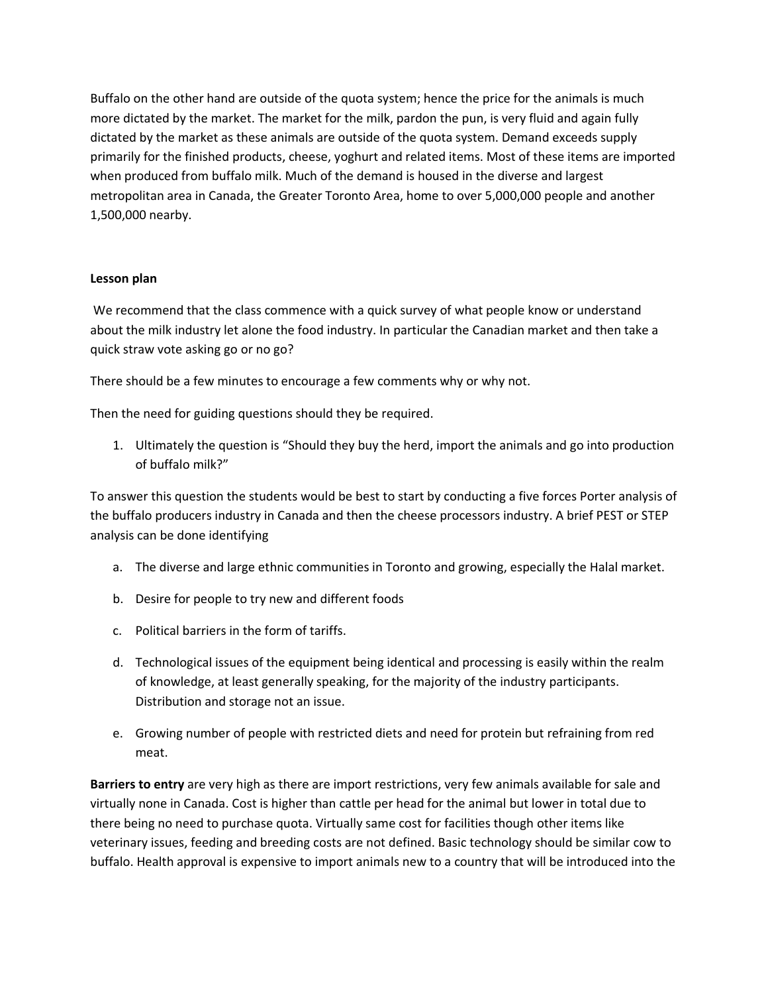Buffalo on the other hand are outside of the quota system; hence the price for the animals is much more dictated by the market. The market for the milk, pardon the pun, is very fluid and again fully dictated by the market as these animals are outside of the quota system. Demand exceeds supply primarily for the finished products, cheese, yoghurt and related items. Most of these items are imported when produced from buffalo milk. Much of the demand is housed in the diverse and largest metropolitan area in Canada, the Greater Toronto Area, home to over 5,000,000 people and another 1,500,000 nearby.

# Lesson plan

 We recommend that the class commence with a quick survey of what people know or understand about the milk industry let alone the food industry. In particular the Canadian market and then take a quick straw vote asking go or no go?

There should be a few minutes to encourage a few comments why or why not.

Then the need for guiding questions should they be required.

1. Ultimately the question is "Should they buy the herd, import the animals and go into production of buffalo milk?"

To answer this question the students would be best to start by conducting a five forces Porter analysis of the buffalo producers industry in Canada and then the cheese processors industry. A brief PEST or STEP analysis can be done identifying

- a. The diverse and large ethnic communities in Toronto and growing, especially the Halal market.
- b. Desire for people to try new and different foods
- c. Political barriers in the form of tariffs.
- d. Technological issues of the equipment being identical and processing is easily within the realm of knowledge, at least generally speaking, for the majority of the industry participants. Distribution and storage not an issue.
- e. Growing number of people with restricted diets and need for protein but refraining from red meat.

Barriers to entry are very high as there are import restrictions, very few animals available for sale and virtually none in Canada. Cost is higher than cattle per head for the animal but lower in total due to there being no need to purchase quota. Virtually same cost for facilities though other items like veterinary issues, feeding and breeding costs are not defined. Basic technology should be similar cow to buffalo. Health approval is expensive to import animals new to a country that will be introduced into the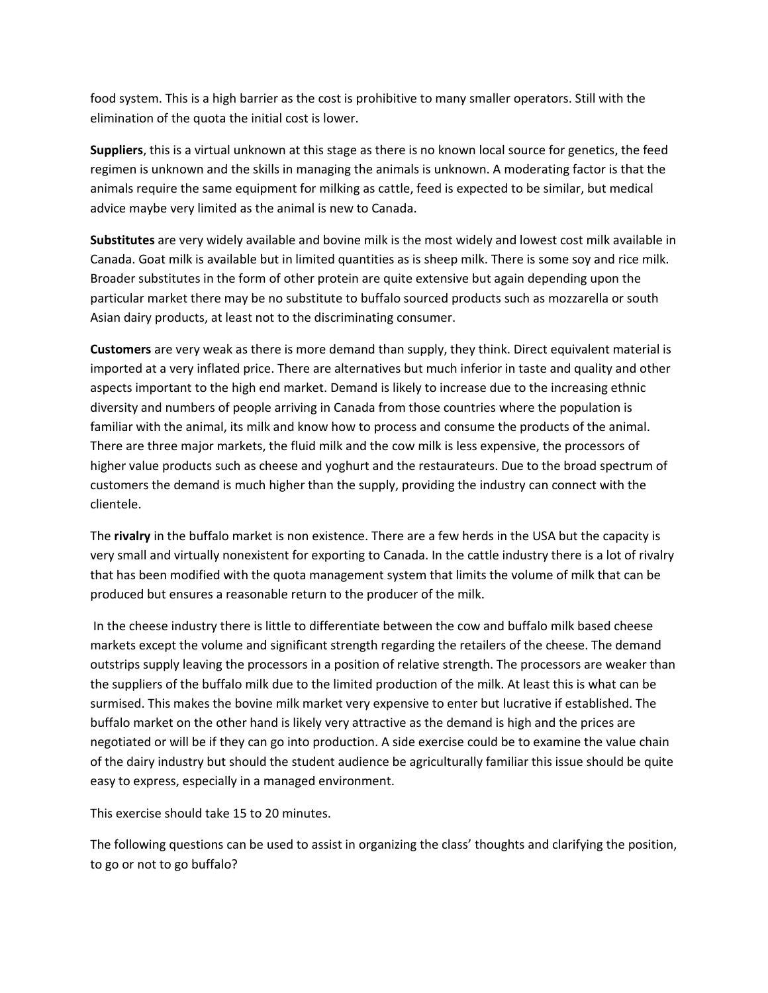food system. This is a high barrier as the cost is prohibitive to many smaller operators. Still with the elimination of the quota the initial cost is lower.

Suppliers, this is a virtual unknown at this stage as there is no known local source for genetics, the feed regimen is unknown and the skills in managing the animals is unknown. A moderating factor is that the animals require the same equipment for milking as cattle, feed is expected to be similar, but medical advice maybe very limited as the animal is new to Canada.

Substitutes are very widely available and bovine milk is the most widely and lowest cost milk available in Canada. Goat milk is available but in limited quantities as is sheep milk. There is some soy and rice milk. Broader substitutes in the form of other protein are quite extensive but again depending upon the particular market there may be no substitute to buffalo sourced products such as mozzarella or south Asian dairy products, at least not to the discriminating consumer.

Customers are very weak as there is more demand than supply, they think. Direct equivalent material is imported at a very inflated price. There are alternatives but much inferior in taste and quality and other aspects important to the high end market. Demand is likely to increase due to the increasing ethnic diversity and numbers of people arriving in Canada from those countries where the population is familiar with the animal, its milk and know how to process and consume the products of the animal. There are three major markets, the fluid milk and the cow milk is less expensive, the processors of higher value products such as cheese and yoghurt and the restaurateurs. Due to the broad spectrum of customers the demand is much higher than the supply, providing the industry can connect with the clientele.

The rivalry in the buffalo market is non existence. There are a few herds in the USA but the capacity is very small and virtually nonexistent for exporting to Canada. In the cattle industry there is a lot of rivalry that has been modified with the quota management system that limits the volume of milk that can be produced but ensures a reasonable return to the producer of the milk.

 In the cheese industry there is little to differentiate between the cow and buffalo milk based cheese markets except the volume and significant strength regarding the retailers of the cheese. The demand outstrips supply leaving the processors in a position of relative strength. The processors are weaker than the suppliers of the buffalo milk due to the limited production of the milk. At least this is what can be surmised. This makes the bovine milk market very expensive to enter but lucrative if established. The buffalo market on the other hand is likely very attractive as the demand is high and the prices are negotiated or will be if they can go into production. A side exercise could be to examine the value chain of the dairy industry but should the student audience be agriculturally familiar this issue should be quite easy to express, especially in a managed environment.

This exercise should take 15 to 20 minutes.

The following questions can be used to assist in organizing the class' thoughts and clarifying the position, to go or not to go buffalo?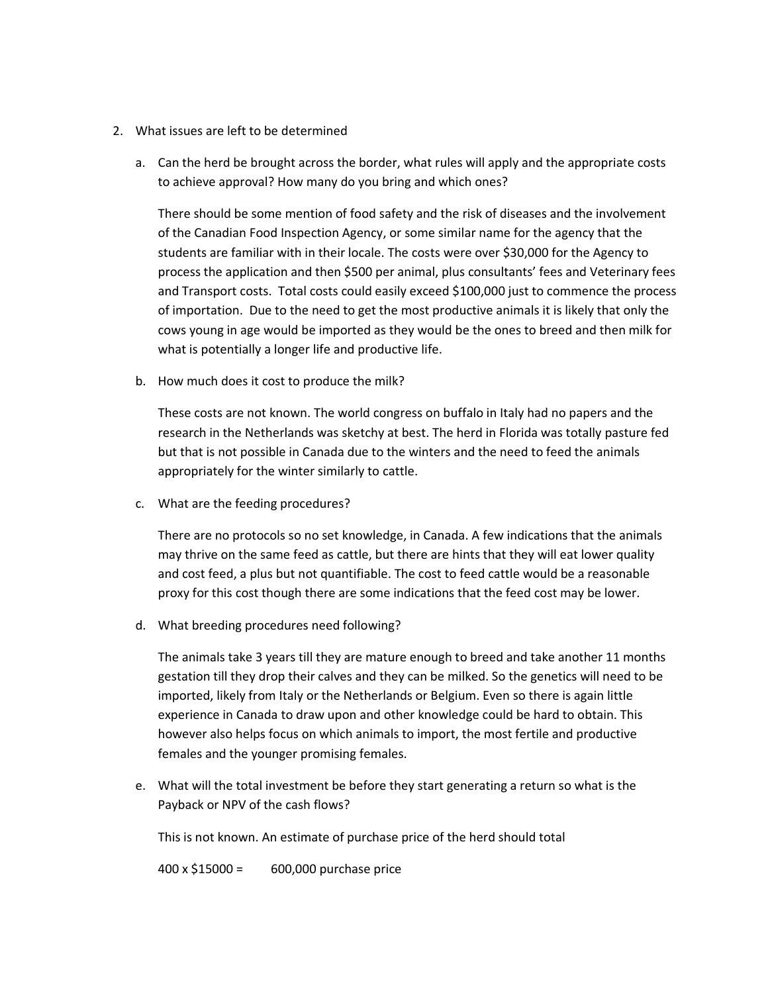- 2. What issues are left to be determined
	- a. Can the herd be brought across the border, what rules will apply and the appropriate costs to achieve approval? How many do you bring and which ones?

There should be some mention of food safety and the risk of diseases and the involvement of the Canadian Food Inspection Agency, or some similar name for the agency that the students are familiar with in their locale. The costs were over \$30,000 for the Agency to process the application and then \$500 per animal, plus consultants' fees and Veterinary fees and Transport costs. Total costs could easily exceed \$100,000 just to commence the process of importation. Due to the need to get the most productive animals it is likely that only the cows young in age would be imported as they would be the ones to breed and then milk for what is potentially a longer life and productive life.

b. How much does it cost to produce the milk?

These costs are not known. The world congress on buffalo in Italy had no papers and the research in the Netherlands was sketchy at best. The herd in Florida was totally pasture fed but that is not possible in Canada due to the winters and the need to feed the animals appropriately for the winter similarly to cattle.

c. What are the feeding procedures?

There are no protocols so no set knowledge, in Canada. A few indications that the animals may thrive on the same feed as cattle, but there are hints that they will eat lower quality and cost feed, a plus but not quantifiable. The cost to feed cattle would be a reasonable proxy for this cost though there are some indications that the feed cost may be lower.

d. What breeding procedures need following?

The animals take 3 years till they are mature enough to breed and take another 11 months gestation till they drop their calves and they can be milked. So the genetics will need to be imported, likely from Italy or the Netherlands or Belgium. Even so there is again little experience in Canada to draw upon and other knowledge could be hard to obtain. This however also helps focus on which animals to import, the most fertile and productive females and the younger promising females.

e. What will the total investment be before they start generating a return so what is the Payback or NPV of the cash flows?

This is not known. An estimate of purchase price of the herd should total

400 x \$15000 = 600,000 purchase price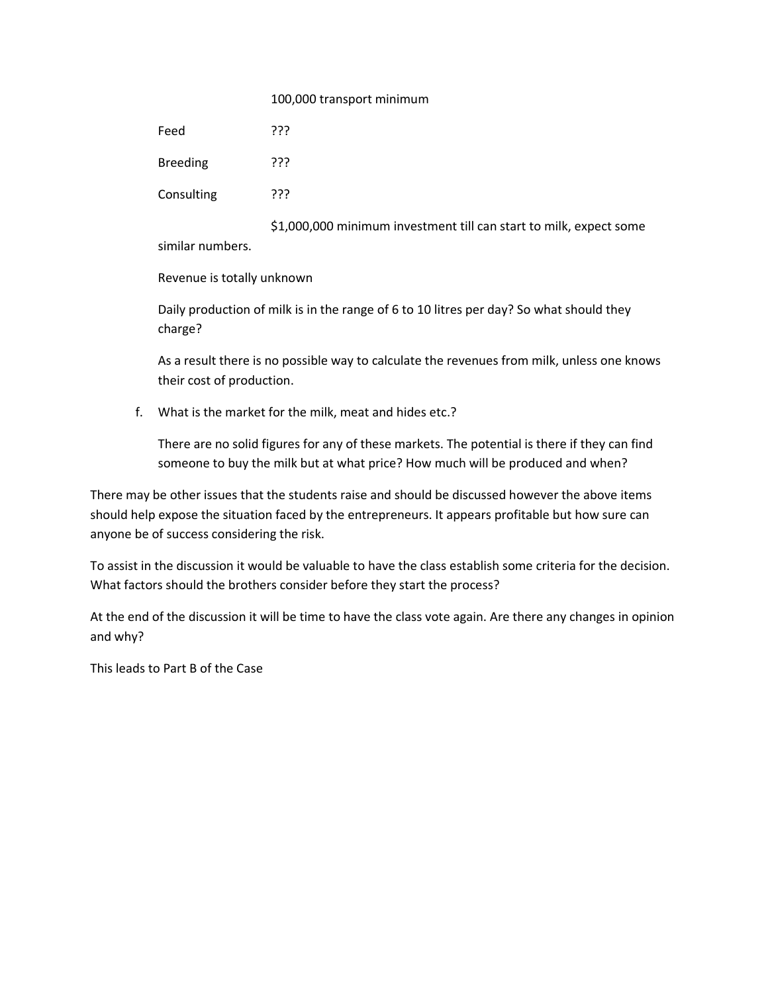#### 100,000 transport minimum

Feed ???

Breeding ??? Consulting ???

 \$1,000,000 minimum investment till can start to milk, expect some similar numbers.

Revenue is totally unknown

Daily production of milk is in the range of 6 to 10 litres per day? So what should they charge?

As a result there is no possible way to calculate the revenues from milk, unless one knows their cost of production.

f. What is the market for the milk, meat and hides etc.?

There are no solid figures for any of these markets. The potential is there if they can find someone to buy the milk but at what price? How much will be produced and when?

There may be other issues that the students raise and should be discussed however the above items should help expose the situation faced by the entrepreneurs. It appears profitable but how sure can anyone be of success considering the risk.

To assist in the discussion it would be valuable to have the class establish some criteria for the decision. What factors should the brothers consider before they start the process?

At the end of the discussion it will be time to have the class vote again. Are there any changes in opinion and why?

This leads to Part B of the Case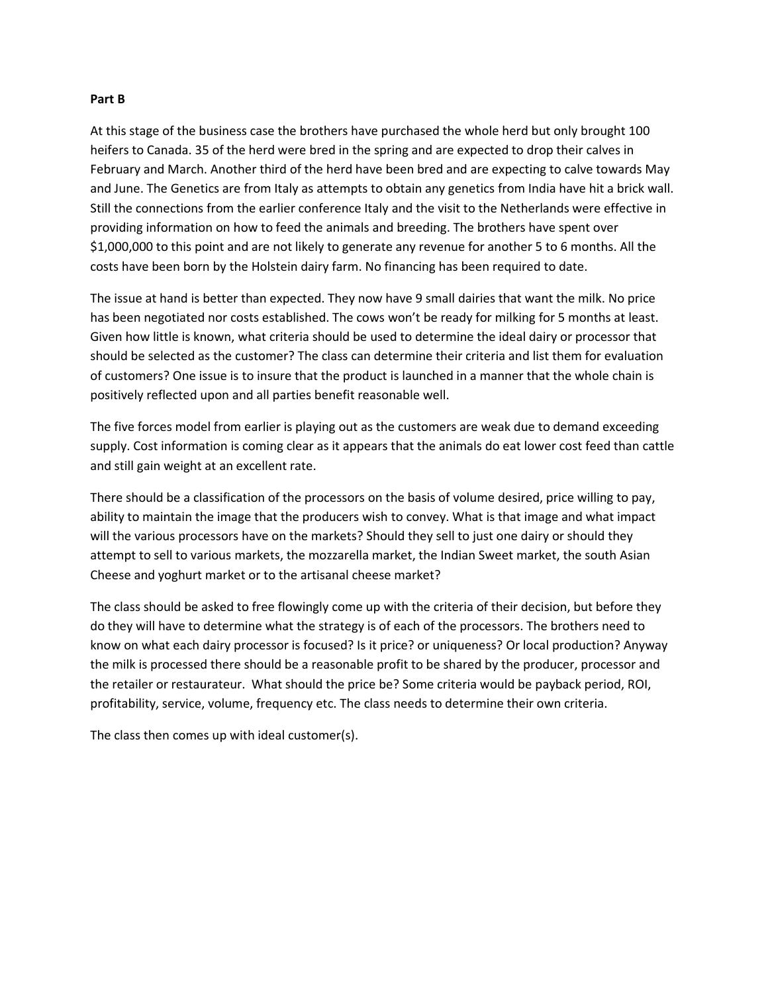#### Part B

At this stage of the business case the brothers have purchased the whole herd but only brought 100 heifers to Canada. 35 of the herd were bred in the spring and are expected to drop their calves in February and March. Another third of the herd have been bred and are expecting to calve towards May and June. The Genetics are from Italy as attempts to obtain any genetics from India have hit a brick wall. Still the connections from the earlier conference Italy and the visit to the Netherlands were effective in providing information on how to feed the animals and breeding. The brothers have spent over \$1,000,000 to this point and are not likely to generate any revenue for another 5 to 6 months. All the costs have been born by the Holstein dairy farm. No financing has been required to date.

The issue at hand is better than expected. They now have 9 small dairies that want the milk. No price has been negotiated nor costs established. The cows won't be ready for milking for 5 months at least. Given how little is known, what criteria should be used to determine the ideal dairy or processor that should be selected as the customer? The class can determine their criteria and list them for evaluation of customers? One issue is to insure that the product is launched in a manner that the whole chain is positively reflected upon and all parties benefit reasonable well.

The five forces model from earlier is playing out as the customers are weak due to demand exceeding supply. Cost information is coming clear as it appears that the animals do eat lower cost feed than cattle and still gain weight at an excellent rate.

There should be a classification of the processors on the basis of volume desired, price willing to pay, ability to maintain the image that the producers wish to convey. What is that image and what impact will the various processors have on the markets? Should they sell to just one dairy or should they attempt to sell to various markets, the mozzarella market, the Indian Sweet market, the south Asian Cheese and yoghurt market or to the artisanal cheese market?

The class should be asked to free flowingly come up with the criteria of their decision, but before they do they will have to determine what the strategy is of each of the processors. The brothers need to know on what each dairy processor is focused? Is it price? or uniqueness? Or local production? Anyway the milk is processed there should be a reasonable profit to be shared by the producer, processor and the retailer or restaurateur. What should the price be? Some criteria would be payback period, ROI, profitability, service, volume, frequency etc. The class needs to determine their own criteria.

The class then comes up with ideal customer(s).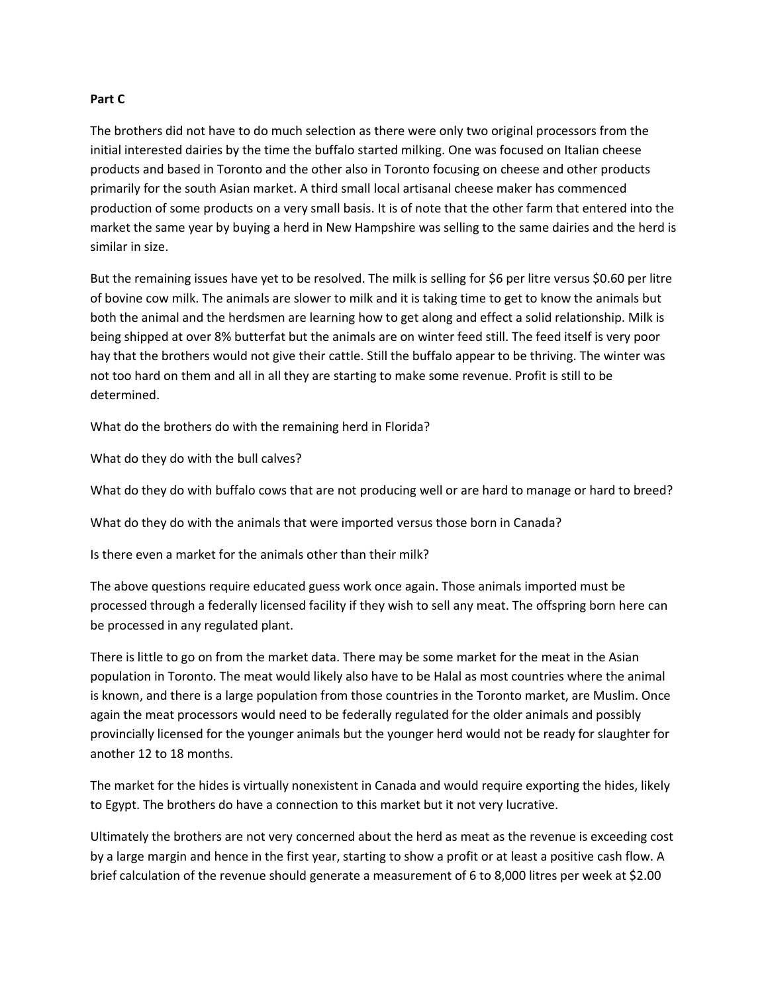#### Part C

The brothers did not have to do much selection as there were only two original processors from the initial interested dairies by the time the buffalo started milking. One was focused on Italian cheese products and based in Toronto and the other also in Toronto focusing on cheese and other products primarily for the south Asian market. A third small local artisanal cheese maker has commenced production of some products on a very small basis. It is of note that the other farm that entered into the market the same year by buying a herd in New Hampshire was selling to the same dairies and the herd is similar in size.

But the remaining issues have yet to be resolved. The milk is selling for \$6 per litre versus \$0.60 per litre of bovine cow milk. The animals are slower to milk and it is taking time to get to know the animals but both the animal and the herdsmen are learning how to get along and effect a solid relationship. Milk is being shipped at over 8% butterfat but the animals are on winter feed still. The feed itself is very poor hay that the brothers would not give their cattle. Still the buffalo appear to be thriving. The winter was not too hard on them and all in all they are starting to make some revenue. Profit is still to be determined.

What do the brothers do with the remaining herd in Florida?

What do they do with the bull calves?

What do they do with buffalo cows that are not producing well or are hard to manage or hard to breed?

What do they do with the animals that were imported versus those born in Canada?

Is there even a market for the animals other than their milk?

The above questions require educated guess work once again. Those animals imported must be processed through a federally licensed facility if they wish to sell any meat. The offspring born here can be processed in any regulated plant.

There is little to go on from the market data. There may be some market for the meat in the Asian population in Toronto. The meat would likely also have to be Halal as most countries where the animal is known, and there is a large population from those countries in the Toronto market, are Muslim. Once again the meat processors would need to be federally regulated for the older animals and possibly provincially licensed for the younger animals but the younger herd would not be ready for slaughter for another 12 to 18 months.

The market for the hides is virtually nonexistent in Canada and would require exporting the hides, likely to Egypt. The brothers do have a connection to this market but it not very lucrative.

Ultimately the brothers are not very concerned about the herd as meat as the revenue is exceeding cost by a large margin and hence in the first year, starting to show a profit or at least a positive cash flow. A brief calculation of the revenue should generate a measurement of 6 to 8,000 litres per week at \$2.00